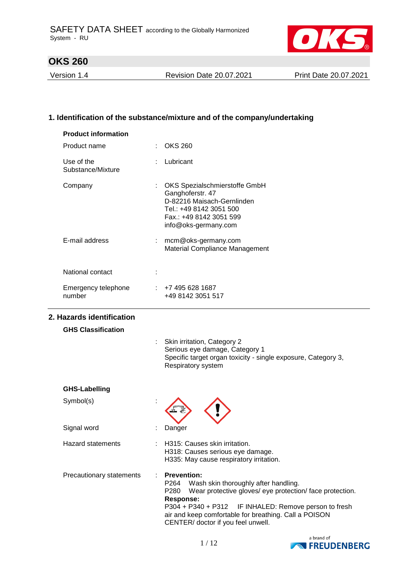

Version 1.4 Revision Date 20.07.2021 Print Date 20.07.2021

## **1. Identification of the substance/mixture and of the company/undertaking**

| <b>Product information</b>      |                                                                                                                                                                                                                                                                                                                                   |
|---------------------------------|-----------------------------------------------------------------------------------------------------------------------------------------------------------------------------------------------------------------------------------------------------------------------------------------------------------------------------------|
| Product name                    | <b>OKS 260</b>                                                                                                                                                                                                                                                                                                                    |
| Use of the<br>Substance/Mixture | Lubricant                                                                                                                                                                                                                                                                                                                         |
| Company                         | OKS Spezialschmierstoffe GmbH<br>Ganghoferstr. 47<br>D-82216 Maisach-Gernlinden<br>Tel.: +49 8142 3051 500<br>Fax.: +49 8142 3051 599<br>info@oks-germany.com                                                                                                                                                                     |
| E-mail address                  | : mcm@oks-germany.com<br>Material Compliance Management                                                                                                                                                                                                                                                                           |
| National contact                |                                                                                                                                                                                                                                                                                                                                   |
| Emergency telephone<br>number   | $\div$ +7 495 628 1687<br>+49 8142 3051 517                                                                                                                                                                                                                                                                                       |
| 2. Hazards identification       |                                                                                                                                                                                                                                                                                                                                   |
| <b>GHS Classification</b>       |                                                                                                                                                                                                                                                                                                                                   |
|                                 | Skin irritation, Category 2<br>Serious eye damage, Category 1<br>Specific target organ toxicity - single exposure, Category 3,<br>Respiratory system                                                                                                                                                                              |
| <b>GHS-Labelling</b>            |                                                                                                                                                                                                                                                                                                                                   |
| Symbol(s)                       |                                                                                                                                                                                                                                                                                                                                   |
| Signal word                     | Danger                                                                                                                                                                                                                                                                                                                            |
| <b>Hazard statements</b>        | H315: Causes skin irritation.<br>H318: Causes serious eye damage.<br>H335: May cause respiratory irritation.                                                                                                                                                                                                                      |
| Precautionary statements        | <b>Prevention:</b><br>P <sub>264</sub><br>Wash skin thoroughly after handling.<br>Wear protective gloves/ eye protection/ face protection.<br>P280<br><b>Response:</b><br>P304 + P340 + P312<br>IF INHALED: Remove person to fresh<br>air and keep comfortable for breathing. Call a POISON<br>CENTER/ doctor if you feel unwell. |

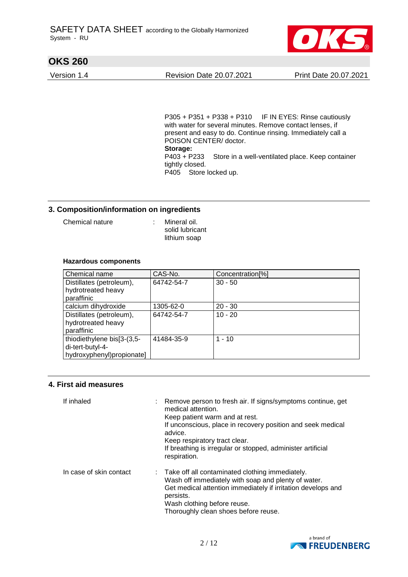

Version 1.4 Revision Date 20.07.2021 Print Date 20.07.2021

P305 + P351 + P338 + P310 IF IN EYES: Rinse cautiously with water for several minutes. Remove contact lenses, if present and easy to do. Continue rinsing. Immediately call a POISON CENTER/ doctor. **Storage:**  P403 + P233 Store in a well-ventilated place. Keep container tightly closed. P405 Store locked up.

### **3. Composition/information on ingredients**

Chemical nature : Mineral oil.

solid lubricant lithium soap

#### **Hazardous components**

| Chemical name              | CAS-No.    | Concentration <sup>[%]</sup> |
|----------------------------|------------|------------------------------|
| Distillates (petroleum),   | 64742-54-7 | $30 - 50$                    |
| hydrotreated heavy         |            |                              |
| paraffinic                 |            |                              |
| calcium dihydroxide        | 1305-62-0  | $20 - 30$                    |
| Distillates (petroleum),   | 64742-54-7 | $10 - 20$                    |
| hydrotreated heavy         |            |                              |
| paraffinic                 |            |                              |
| thiodiethylene bis[3-(3,5- | 41484-35-9 | $1 - 10$                     |
| di-tert-butyl-4-           |            |                              |
| hydroxyphenyl)propionate]  |            |                              |

#### **4. First aid measures**

| If inhaled              | Remove person to fresh air. If signs/symptoms continue, get<br>medical attention.<br>Keep patient warm and at rest.<br>If unconscious, place in recovery position and seek medical<br>advice.<br>Keep respiratory tract clear.<br>If breathing is irregular or stopped, administer artificial<br>respiration. |
|-------------------------|---------------------------------------------------------------------------------------------------------------------------------------------------------------------------------------------------------------------------------------------------------------------------------------------------------------|
| In case of skin contact | : Take off all contaminated clothing immediately.<br>Wash off immediately with soap and plenty of water.<br>Get medical attention immediately if irritation develops and<br>persists.<br>Wash clothing before reuse.<br>Thoroughly clean shoes before reuse.                                                  |

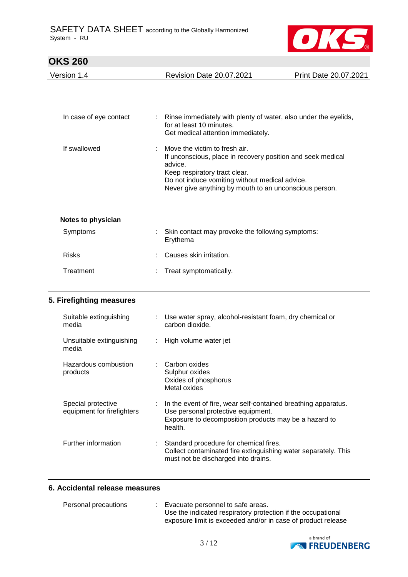

| <b>OKS 260</b>                    |                           |                                                                                                                                                                                                                                                      |                       |
|-----------------------------------|---------------------------|------------------------------------------------------------------------------------------------------------------------------------------------------------------------------------------------------------------------------------------------------|-----------------------|
| Version 1.4                       |                           | <b>Revision Date 20.07.2021</b>                                                                                                                                                                                                                      | Print Date 20.07.2021 |
|                                   |                           |                                                                                                                                                                                                                                                      |                       |
| In case of eye contact            |                           | Rinse immediately with plenty of water, also under the eyelids,<br>for at least 10 minutes.<br>Get medical attention immediately.                                                                                                                    |                       |
| If swallowed                      |                           | Move the victim to fresh air.<br>If unconscious, place in recovery position and seek medical<br>advice.<br>Keep respiratory tract clear.<br>Do not induce vomiting without medical advice.<br>Never give anything by mouth to an unconscious person. |                       |
| Notes to physician                |                           |                                                                                                                                                                                                                                                      |                       |
| Symptoms                          |                           | Skin contact may provoke the following symptoms:<br>Erythema                                                                                                                                                                                         |                       |
| <b>Risks</b>                      |                           | Causes skin irritation.                                                                                                                                                                                                                              |                       |
| Treatment                         |                           | Treat symptomatically.                                                                                                                                                                                                                               |                       |
| 5. Firefighting measures          |                           |                                                                                                                                                                                                                                                      |                       |
| Suitable extinguishing<br>media   | $\mathbb{R}^{\mathbb{Z}}$ | Use water spray, alcohol-resistant foam, dry chemical or<br>carbon dioxide.                                                                                                                                                                          |                       |
| Unsuitable extinguishing<br>media | ÷                         | High volume water jet                                                                                                                                                                                                                                |                       |
| Hoperation combustion             |                           | . Corpor ovideo                                                                                                                                                                                                                                      |                       |

| Unsuitable extinguishing<br>media                | : High volume water jet                                                                                                                                                               |
|--------------------------------------------------|---------------------------------------------------------------------------------------------------------------------------------------------------------------------------------------|
| Hazardous combustion<br>products                 | : Carbon oxides<br>Sulphur oxides<br>Oxides of phosphorus<br>Metal oxides                                                                                                             |
| Special protective<br>equipment for firefighters | $\therefore$ In the event of fire, wear self-contained breathing apparatus.<br>Use personal protective equipment.<br>Exposure to decomposition products may be a hazard to<br>health. |
| Further information                              | Standard procedure for chemical fires.<br>Collect contaminated fire extinguishing water separately. This<br>must not be discharged into drains.                                       |

## **6. Accidental release measures**

| Personal precautions | Evacuate personnel to safe areas.                            |
|----------------------|--------------------------------------------------------------|
|                      | Use the indicated respiratory protection if the occupational |
|                      | exposure limit is exceeded and/or in case of product release |

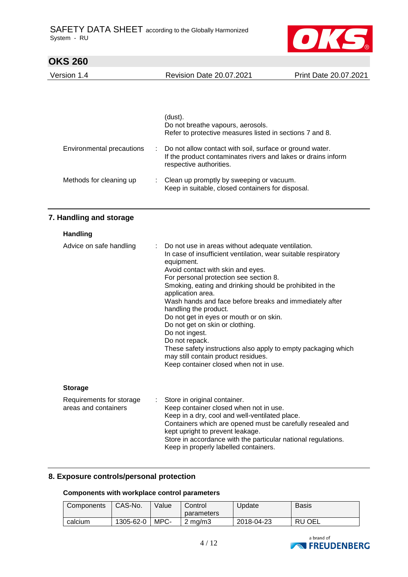

| <b>OKS 260</b>                                   |  |                                                                                                                                                                                                                                                                                                                                                                                                                                                                                                                                                                                                                                                           |                       |
|--------------------------------------------------|--|-----------------------------------------------------------------------------------------------------------------------------------------------------------------------------------------------------------------------------------------------------------------------------------------------------------------------------------------------------------------------------------------------------------------------------------------------------------------------------------------------------------------------------------------------------------------------------------------------------------------------------------------------------------|-----------------------|
| Version 1.4                                      |  | <b>Revision Date 20.07.2021</b>                                                                                                                                                                                                                                                                                                                                                                                                                                                                                                                                                                                                                           | Print Date 20.07.2021 |
|                                                  |  |                                                                                                                                                                                                                                                                                                                                                                                                                                                                                                                                                                                                                                                           |                       |
|                                                  |  | (dust).<br>Do not breathe vapours, aerosols.<br>Refer to protective measures listed in sections 7 and 8.                                                                                                                                                                                                                                                                                                                                                                                                                                                                                                                                                  |                       |
| Environmental precautions                        |  | Do not allow contact with soil, surface or ground water.<br>If the product contaminates rivers and lakes or drains inform<br>respective authorities.                                                                                                                                                                                                                                                                                                                                                                                                                                                                                                      |                       |
| Methods for cleaning up                          |  | Clean up promptly by sweeping or vacuum.<br>Keep in suitable, closed containers for disposal.                                                                                                                                                                                                                                                                                                                                                                                                                                                                                                                                                             |                       |
| 7. Handling and storage                          |  |                                                                                                                                                                                                                                                                                                                                                                                                                                                                                                                                                                                                                                                           |                       |
| Handling                                         |  |                                                                                                                                                                                                                                                                                                                                                                                                                                                                                                                                                                                                                                                           |                       |
| Advice on safe handling                          |  | Do not use in areas without adequate ventilation.<br>In case of insufficient ventilation, wear suitable respiratory<br>equipment.<br>Avoid contact with skin and eyes.<br>For personal protection see section 8.<br>Smoking, eating and drinking should be prohibited in the<br>application area.<br>Wash hands and face before breaks and immediately after<br>handling the product.<br>Do not get in eyes or mouth or on skin.<br>Do not get on skin or clothing.<br>Do not ingest.<br>Do not repack.<br>These safety instructions also apply to empty packaging which<br>may still contain product residues.<br>Keep container closed when not in use. |                       |
| <b>Storage</b>                                   |  |                                                                                                                                                                                                                                                                                                                                                                                                                                                                                                                                                                                                                                                           |                       |
| Requirements for storage<br>areas and containers |  | Store in original container.<br>Keep container closed when not in use.<br>Keep in a dry, cool and well-ventilated place.<br>Containers which are opened must be carefully resealed and<br>kept upright to prevent leakage.<br>Store in accordance with the particular national regulations.<br>Keep in properly labelled containers.                                                                                                                                                                                                                                                                                                                      |                       |

## **8. Exposure controls/personal protection**

## **Components with workplace control parameters**

| Components | CAS-No.   | Value | Control<br>parameters | Update     | Basis  |
|------------|-----------|-------|-----------------------|------------|--------|
| calcium    | 1305-62-0 | MPC-  | $2 \text{ ma/m}$ 3    | 2018-04-23 | RU OEL |

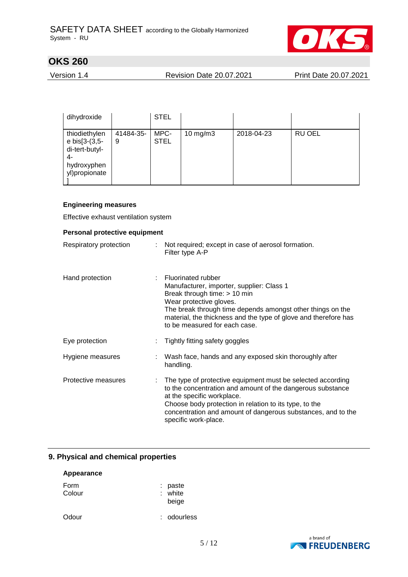

Version 1.4 Revision Date 20.07.2021 Print Date 20.07.2021

| dihydroxide                                                                            |                | <b>STEL</b>         |               |            |               |
|----------------------------------------------------------------------------------------|----------------|---------------------|---------------|------------|---------------|
| thiodiethylen<br>e bis[3-(3,5-<br>di-tert-butyl-<br>4-<br>hydroxyphen<br>yl)propionate | 41484-35-<br>9 | MPC-<br><b>STEL</b> | $10$ mg/m $3$ | 2018-04-23 | <b>RU OEL</b> |

### **Engineering measures**

Effective exhaust ventilation system

| Personal protective equipment |  |                                                                                                                                                                                                                                                                                                           |  |  |  |
|-------------------------------|--|-----------------------------------------------------------------------------------------------------------------------------------------------------------------------------------------------------------------------------------------------------------------------------------------------------------|--|--|--|
| Respiratory protection        |  | Not required; except in case of aerosol formation.<br>Filter type A-P                                                                                                                                                                                                                                     |  |  |  |
| Hand protection               |  | <b>Fluorinated rubber</b><br>Manufacturer, importer, supplier: Class 1<br>Break through time: > 10 min<br>Wear protective gloves.<br>The break through time depends amongst other things on the<br>material, the thickness and the type of glove and therefore has<br>to be measured for each case.       |  |  |  |
| Eye protection                |  | Tightly fitting safety goggles                                                                                                                                                                                                                                                                            |  |  |  |
| Hygiene measures              |  | Wash face, hands and any exposed skin thoroughly after<br>handling.                                                                                                                                                                                                                                       |  |  |  |
| Protective measures           |  | The type of protective equipment must be selected according<br>to the concentration and amount of the dangerous substance<br>at the specific workplace.<br>Choose body protection in relation to its type, to the<br>concentration and amount of dangerous substances, and to the<br>specific work-place. |  |  |  |

## **9. Physical and chemical properties**

| Appearance     |                             |  |  |  |
|----------------|-----------------------------|--|--|--|
| Form<br>Colour | : paste<br>: white<br>beige |  |  |  |
| Odour          | : odourless                 |  |  |  |

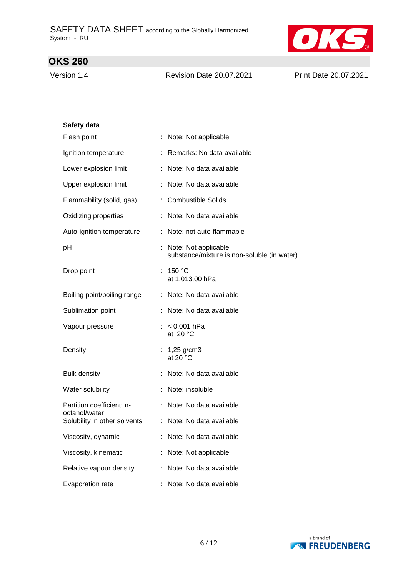

Version 1.4 Revision Date 20.07.2021 Print Date 20.07.2021

| Safety data                                   |                                                                     |
|-----------------------------------------------|---------------------------------------------------------------------|
| Flash point                                   | : Note: Not applicable                                              |
| Ignition temperature                          | : Remarks: No data available                                        |
| Lower explosion limit                         | : Note: No data available                                           |
| Upper explosion limit                         | Note: No data available                                             |
| Flammability (solid, gas)                     | : Combustible Solids                                                |
| Oxidizing properties                          | : Note: No data available                                           |
| Auto-ignition temperature                     | : Note: not auto-flammable                                          |
| pH                                            | Note: Not applicable<br>substance/mixture is non-soluble (in water) |
| Drop point                                    | : 150 °C<br>at 1.013,00 hPa                                         |
| Boiling point/boiling range                   | : Note: No data available                                           |
| Sublimation point                             | : Note: No data available                                           |
| Vapour pressure                               | : $< 0,001$ hPa<br>at 20 $\degree$ C                                |
| Density                                       | 1,25 $g/cm3$<br>t.<br>at 20 $\degree$ C                             |
| <b>Bulk density</b>                           | Note: No data available                                             |
| Water solubility                              | Note: insoluble                                                     |
| Partition coefficient: n-                     | : Note: No data available                                           |
| octanol/water<br>Solubility in other solvents | : Note: No data available                                           |
| Viscosity, dynamic                            | Note: No data available                                             |
| Viscosity, kinematic                          | Note: Not applicable                                                |
| Relative vapour density                       | Note: No data available                                             |
| Evaporation rate                              | Note: No data available                                             |

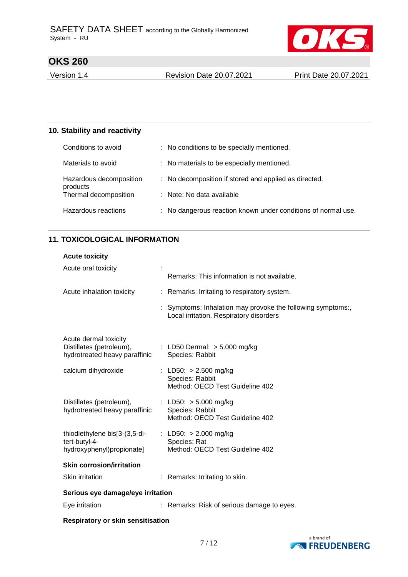

Version 1.4 Revision Date 20.07.2021 Print Date 20.07.2021

## **10. Stability and reactivity**

| Conditions to avoid                 | : No conditions to be specially mentioned.                    |
|-------------------------------------|---------------------------------------------------------------|
| Materials to avoid                  | : No materials to be especially mentioned.                    |
| Hazardous decomposition<br>products | : No decomposition if stored and applied as directed.         |
| Thermal decomposition               | : Note: No data available                                     |
| Hazardous reactions                 | : No dangerous reaction known under conditions of normal use. |

## **11. TOXICOLOGICAL INFORMATION**

| <b>Acute toxicity</b>                                                              |  |                                                                                                        |
|------------------------------------------------------------------------------------|--|--------------------------------------------------------------------------------------------------------|
| Acute oral toxicity                                                                |  | Remarks: This information is not available.                                                            |
| Acute inhalation toxicity                                                          |  | : Remarks: Irritating to respiratory system.                                                           |
|                                                                                    |  | : Symptoms: Inhalation may provoke the following symptoms:,<br>Local irritation, Respiratory disorders |
| Acute dermal toxicity<br>Distillates (petroleum),<br>hydrotreated heavy paraffinic |  | : LD50 Dermal: $> 5.000$ mg/kg<br>Species: Rabbit                                                      |
| calcium dihydroxide                                                                |  | : LD50: $> 2.500$ mg/kg<br>Species: Rabbit<br>Method: OECD Test Guideline 402                          |
| Distillates (petroleum),<br>hydrotreated heavy paraffinic                          |  | : LD50: $> 5.000$ mg/kg<br>Species: Rabbit<br>Method: OECD Test Guideline 402                          |
| thiodiethylene bis[3-(3,5-di-<br>tert-butyl-4-<br>hydroxyphenyl)propionate]        |  | : LD50: $> 2.000$ mg/kg<br>Species: Rat<br>Method: OECD Test Guideline 402                             |
| <b>Skin corrosion/irritation</b>                                                   |  |                                                                                                        |
| Skin irritation                                                                    |  | : Remarks: Irritating to skin.                                                                         |
| Serious eye damage/eye irritation                                                  |  |                                                                                                        |
| Eye irritation                                                                     |  | : Remarks: Risk of serious damage to eyes.                                                             |

#### **Respiratory or skin sensitisation**

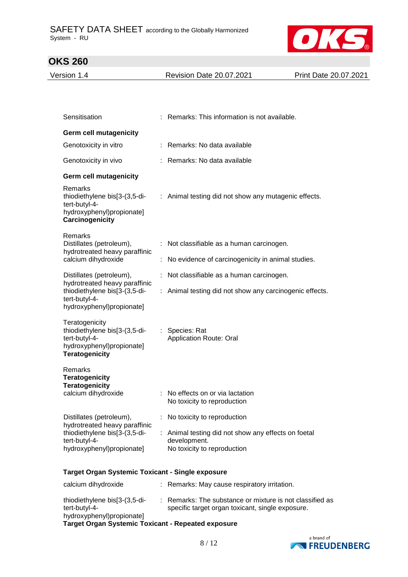

| Version 1.4                                                                                                      | <b>Revision Date 20.07.2021</b>                      | Print Date 20.07.2021 |
|------------------------------------------------------------------------------------------------------------------|------------------------------------------------------|-----------------------|
|                                                                                                                  |                                                      |                       |
|                                                                                                                  |                                                      |                       |
| Sensitisation                                                                                                    | : Remarks: This information is not available.        |                       |
| <b>Germ cell mutagenicity</b>                                                                                    |                                                      |                       |
| Genotoxicity in vitro                                                                                            | : Remarks: No data available                         |                       |
| Genotoxicity in vivo                                                                                             | : Remarks: No data available                         |                       |
| <b>Germ cell mutagenicity</b>                                                                                    |                                                      |                       |
| <b>Remarks</b><br>thiodiethylene bis[3-(3,5-di-<br>tert-butyl-4-<br>hydroxyphenyl)propionate]<br>Carcinogenicity | : Animal testing did not show any mutagenic effects. |                       |
| <b>Remarks</b>                                                                                                   |                                                      |                       |

| nguano<br>Distillates (petroleum),<br>hydrotreated heavy paraffinic<br>calcium dihydroxide                                               | $:$ Not classifiable as a human carcinogen.             |
|------------------------------------------------------------------------------------------------------------------------------------------|---------------------------------------------------------|
|                                                                                                                                          | : No evidence of carcinogenicity in animal studies.     |
| Distillates (petroleum),<br>hydrotreated heavy paraffinic<br>thiodiethylene bis[3-(3,5-di-<br>tert-butyl-4-<br>hydroxyphenyl)propionate] | : Not classifiable as a human carcinogen.               |
|                                                                                                                                          | : Animal testing did not show any carcinogenic effects. |
| Teratogenicity<br>thiodiethylene bis[3-(3,5-di-<br>tert-butyl-4-<br>hydroxyphenyl)propionate]<br><b>Teratogenicity</b>                   | : Species: Rat<br><b>Application Route: Oral</b>        |
| Remarks<br><b>Teratogenicity</b><br><b>Teratogenicity</b><br>calcium dihydroxide                                                         | : No effects on or via lactation                        |
|                                                                                                                                          | No toxicity to reproduction                             |
| Distillates (petroleum),                                                                                                                 | : No toxicity to reproduction                           |

hydrotreated heavy paraffinic thiodiethylene bis[3-(3,5-ditert-butyl-4 hydroxyphenyl)propionate] : Animal testing did not show any effects on foetal development. No toxicity to reproduction

### **Target Organ Systemic Toxicant - Single exposure**

| calcium dihydroxide                                                         |  | : Remarks: May cause respiratory irritation.                                                                 |
|-----------------------------------------------------------------------------|--|--------------------------------------------------------------------------------------------------------------|
| thiodiethylene bis[3-(3,5-di-<br>tert-butyl-4-<br>hydroxyphenyl)propionate] |  | : Remarks: The substance or mixture is not classified as<br>specific target organ toxicant, single exposure. |
| <b>Target Organ Systemic Toxicant - Repeated exposure</b>                   |  |                                                                                                              |

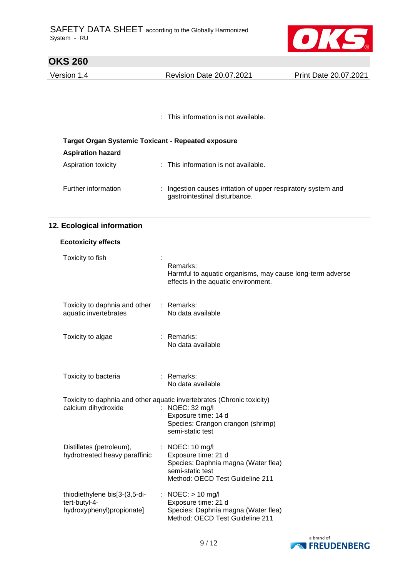

| <b>OKS 260</b>                                            |                                                                                                                                                                           |                       |
|-----------------------------------------------------------|---------------------------------------------------------------------------------------------------------------------------------------------------------------------------|-----------------------|
| Version 1.4                                               | <b>Revision Date 20.07.2021</b>                                                                                                                                           | Print Date 20.07.2021 |
|                                                           |                                                                                                                                                                           |                       |
|                                                           |                                                                                                                                                                           |                       |
|                                                           | This information is not available.                                                                                                                                        |                       |
| <b>Target Organ Systemic Toxicant - Repeated exposure</b> |                                                                                                                                                                           |                       |
| <b>Aspiration hazard</b>                                  |                                                                                                                                                                           |                       |
| Aspiration toxicity                                       | : This information is not available.                                                                                                                                      |                       |
| Further information                                       | Ingestion causes irritation of upper respiratory system and<br>gastrointestinal disturbance.                                                                              |                       |
| 12. Ecological information                                |                                                                                                                                                                           |                       |
| <b>Ecotoxicity effects</b>                                |                                                                                                                                                                           |                       |
| Toxicity to fish                                          | Remarks:<br>Harmful to aquatic organisms, may cause long-term adverse<br>effects in the aquatic environment.                                                              |                       |
| Toxicity to daphnia and other<br>aquatic invertebrates    | $:$ Remarks:<br>No data available                                                                                                                                         |                       |
| Toxicity to algae                                         | Remarks:<br>No data available                                                                                                                                             |                       |
| Toxicity to bacteria                                      | : Remarks:<br>No data available                                                                                                                                           |                       |
| calcium dihydroxide                                       | Toxicity to daphnia and other aquatic invertebrates (Chronic toxicity)<br>: NOEC: 32 mg/l<br>Exposure time: 14 d<br>Species: Crangon crangon (shrimp)<br>semi-static test |                       |
| Distillates (petroleum),<br>hydrotreated heavy paraffinic | : NOEC: $10 \text{ mg/l}$<br>Exposure time: 21 d<br>Species: Daphnia magna (Water flea)<br>semi-static test<br>Method: OECD Test Guideline 211                            |                       |
| thiodiethylene bis[3-(3,5-di-                             | : NOEC: $> 10$ mg/l                                                                                                                                                       |                       |

thiodiethylene bis[3-(3,5-ditert-butyl-4 hydroxyphenyl)propionate] : NOEC: > 10 mg/l Exposure time: 21 d Species: Daphnia magna (Water flea) Method: OECD Test Guideline 211

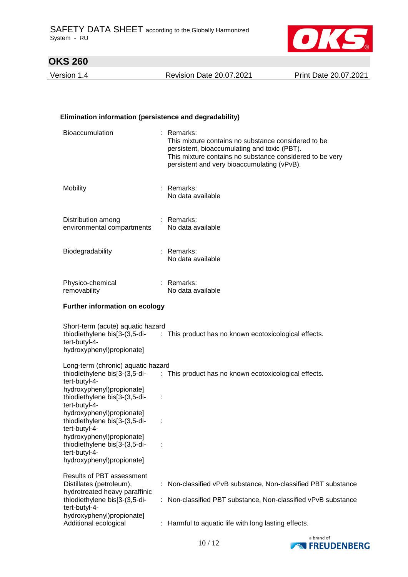

Version 1.4 Revision Date 20.07.2021 Print Date 20.07.2021

### **Elimination information (persistence and degradability)**

| Bioaccumulation                                                                                          |   | : Remarks:<br>This mixture contains no substance considered to be<br>persistent, bioaccumulating and toxic (PBT).<br>This mixture contains no substance considered to be very<br>persistent and very bioaccumulating (vPvB). |
|----------------------------------------------------------------------------------------------------------|---|------------------------------------------------------------------------------------------------------------------------------------------------------------------------------------------------------------------------------|
| <b>Mobility</b>                                                                                          |   | : Remarks:<br>No data available                                                                                                                                                                                              |
| Distribution among<br>environmental compartments                                                         |   | : Remarks:<br>No data available                                                                                                                                                                                              |
| Biodegradability                                                                                         |   | : Remarks:<br>No data available                                                                                                                                                                                              |
| Physico-chemical<br>removability                                                                         |   | : Remarks:<br>No data available                                                                                                                                                                                              |
| <b>Further information on ecology</b>                                                                    |   |                                                                                                                                                                                                                              |
| Short-term (acute) aquatic hazard<br>tert-butyl-4-<br>hydroxyphenyl)propionate]                          |   | thiodiethylene bis[3-(3,5-di- : This product has no known ecotoxicological effects.                                                                                                                                          |
| Long-term (chronic) aquatic hazard                                                                       |   | thiodiethylene bis[3-(3,5-di- : This product has no known ecotoxicological effects.                                                                                                                                          |
| tert-butyl-4-<br>hydroxyphenyl)propionate]<br>thiodiethylene bis[3-(3,5-di-                              | ÷ |                                                                                                                                                                                                                              |
| tert-butyl-4-<br>hydroxyphenyl)propionate]<br>thiodiethylene bis[3-(3,5-di-<br>tert-butyl-4-             |   |                                                                                                                                                                                                                              |
| hydroxyphenyl)propionate]<br>thiodiethylene bis[3-(3,5-di-<br>tert-butyl-4-<br>hydroxyphenyl)propionate] |   |                                                                                                                                                                                                                              |
| Results of PBT assessment                                                                                |   |                                                                                                                                                                                                                              |
| Distillates (petroleum),<br>hydrotreated heavy paraffinic                                                |   | Non-classified vPvB substance, Non-classified PBT substance                                                                                                                                                                  |
| thiodiethylene bis[3-(3,5-di-<br>tert-butyl-4-                                                           |   | Non-classified PBT substance, Non-classified vPvB substance                                                                                                                                                                  |
| hydroxyphenyl)propionate]<br>Additional ecological                                                       |   | Harmful to aquatic life with long lasting effects.                                                                                                                                                                           |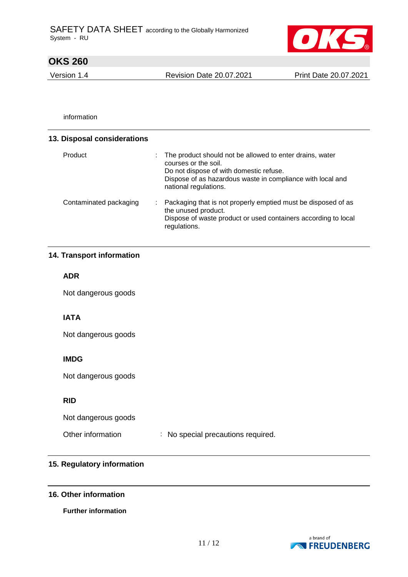

Version 1.4 Revision Date 20.07.2021 Print Date 20.07.2021

information

| 13. Disposal considerations |                                                                                                                                                                                                                    |
|-----------------------------|--------------------------------------------------------------------------------------------------------------------------------------------------------------------------------------------------------------------|
| Product                     | The product should not be allowed to enter drains, water<br>courses or the soil.<br>Do not dispose of with domestic refuse.<br>Dispose of as hazardous waste in compliance with local and<br>national regulations. |
| Contaminated packaging      | Packaging that is not properly emptied must be disposed of as<br>÷.<br>the unused product.<br>Dispose of waste product or used containers according to local<br>regulations.                                       |

## **14. Transport information**

### **ADR**

Not dangerous goods

## **IATA**

Not dangerous goods

## **IMDG**

Not dangerous goods

## **RID**

Not dangerous goods

Other information : No special precautions required.

### **15. Regulatory information**

### **16. Other information**

**Further information**